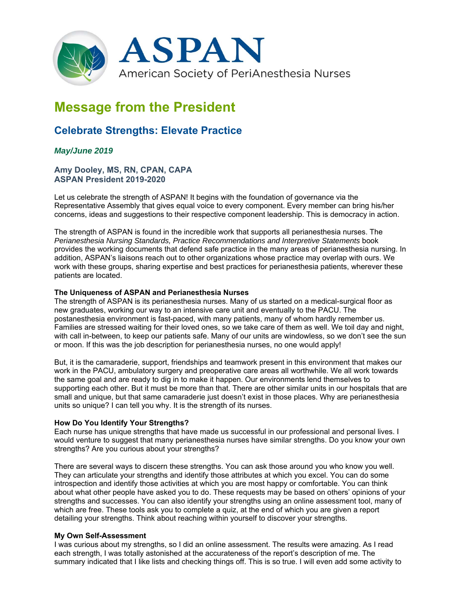

# **Message from the President**

## **Celebrate Strengths: Elevate Practice**

### *May/June 2019*

**Amy Dooley, MS, RN, CPAN, CAPA ASPAN President 2019-2020** 

Let us celebrate the strength of ASPAN! It begins with the foundation of governance via the Representative Assembly that gives equal voice to every component. Every member can bring his/her concerns, ideas and suggestions to their respective component leadership. This is democracy in action.

The strength of ASPAN is found in the incredible work that supports all perianesthesia nurses. The *Perianesthesia Nursing Standards, Practice Recommendations and Interpretive Statements* book provides the working documents that defend safe practice in the many areas of perianesthesia nursing. In addition, ASPAN's liaisons reach out to other organizations whose practice may overlap with ours. We work with these groups, sharing expertise and best practices for perianesthesia patients, wherever these patients are located.

#### **The Uniqueness of ASPAN and Perianesthesia Nurses**

The strength of ASPAN is its perianesthesia nurses. Many of us started on a medical-surgical floor as new graduates, working our way to an intensive care unit and eventually to the PACU. The postanesthesia environment is fast-paced, with many patients, many of whom hardly remember us. Families are stressed waiting for their loved ones, so we take care of them as well. We toil day and night, with call in-between, to keep our patients safe. Many of our units are windowless, so we don't see the sun or moon. If this was the job description for perianesthesia nurses, no one would apply!

But, it is the camaraderie, support, friendships and teamwork present in this environment that makes our work in the PACU, ambulatory surgery and preoperative care areas all worthwhile. We all work towards the same goal and are ready to dig in to make it happen. Our environments lend themselves to supporting each other. But it must be more than that. There are other similar units in our hospitals that are small and unique, but that same camaraderie just doesn't exist in those places. Why are perianesthesia units so unique? I can tell you why. It is the strength of its nurses.

#### **How Do You Identify Your Strengths?**

Each nurse has unique strengths that have made us successful in our professional and personal lives. I would venture to suggest that many perianesthesia nurses have similar strengths. Do you know your own strengths? Are you curious about your strengths?

There are several ways to discern these strengths. You can ask those around you who know you well. They can articulate your strengths and identify those attributes at which you excel. You can do some introspection and identify those activities at which you are most happy or comfortable. You can think about what other people have asked you to do. These requests may be based on others' opinions of your strengths and successes. You can also identify your strengths using an online assessment tool, many of which are free. These tools ask you to complete a quiz, at the end of which you are given a report detailing your strengths. Think about reaching within yourself to discover your strengths.

#### **My Own Self-Assessment**

I was curious about my strengths, so I did an online assessment. The results were amazing. As I read each strength, I was totally astonished at the accurateness of the report's description of me. The summary indicated that I like lists and checking things off. This is so true. I will even add some activity to